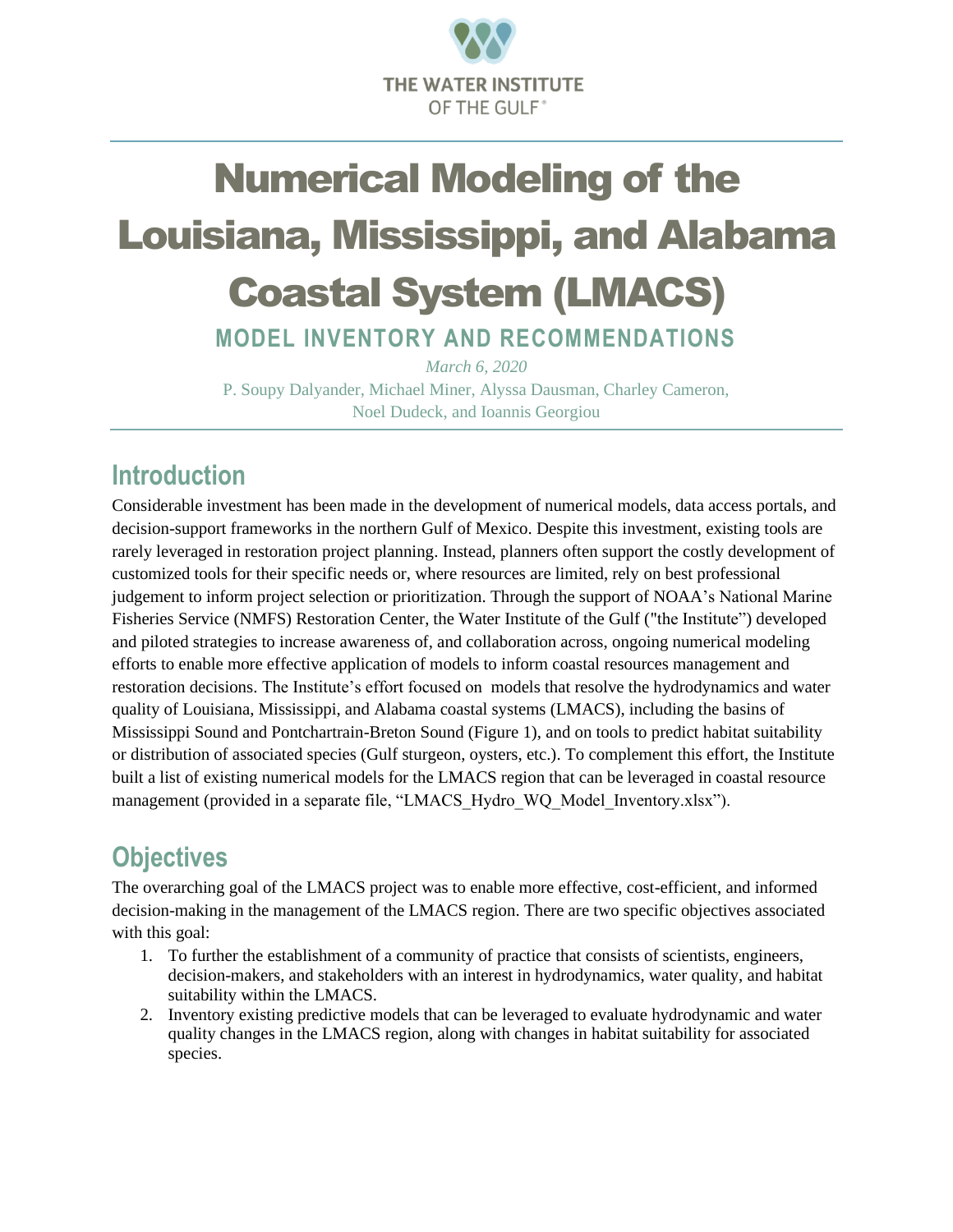

# Numerical Modeling of the Louisiana, Mississippi, and Alabama Coastal System (LMACS)

**MODEL INVENTORY AND RECOMMENDATIONS**

*March 6, 2020* P. Soupy Dalyander, Michael Miner, Alyssa Dausman, Charley Cameron, Noel Dudeck, and Ioannis Georgiou

## **Introduction**

Considerable investment has been made in the development of numerical models, data access portals, and decision-support frameworks in the northern Gulf of Mexico. Despite this investment, existing tools are rarely leveraged in restoration project planning. Instead, planners often support the costly development of customized tools for their specific needs or, where resources are limited, rely on best professional judgement to inform project selection or prioritization. Through the support of NOAA's National Marine Fisheries Service (NMFS) Restoration Center, the Water Institute of the Gulf ("the Institute") developed and piloted strategies to increase awareness of, and collaboration across, ongoing numerical modeling efforts to enable more effective application of models to inform coastal resources management and restoration decisions. The Institute's effort focused on models that resolve the hydrodynamics and water quality of Louisiana, Mississippi, and Alabama coastal systems (LMACS), including the basins of Mississippi Sound and Pontchartrain-Breton Sound (Figure 1), and on tools to predict habitat suitability or distribution of associated species (Gulf sturgeon, oysters, etc.). To complement this effort, the Institute built a list of existing numerical models for the LMACS region that can be leveraged in coastal resource management (provided in a separate file, "LMACS\_Hydro\_WQ\_Model\_Inventory.xlsx").

## **Objectives**

The overarching goal of the LMACS project was to enable more effective, cost-efficient, and informed decision-making in the management of the LMACS region. There are two specific objectives associated with this goal:

- 1. To further the establishment of a community of practice that consists of scientists, engineers, decision-makers, and stakeholders with an interest in hydrodynamics, water quality, and habitat suitability within the LMACS.
- 2. Inventory existing predictive models that can be leveraged to evaluate hydrodynamic and water quality changes in the LMACS region, along with changes in habitat suitability for associated species.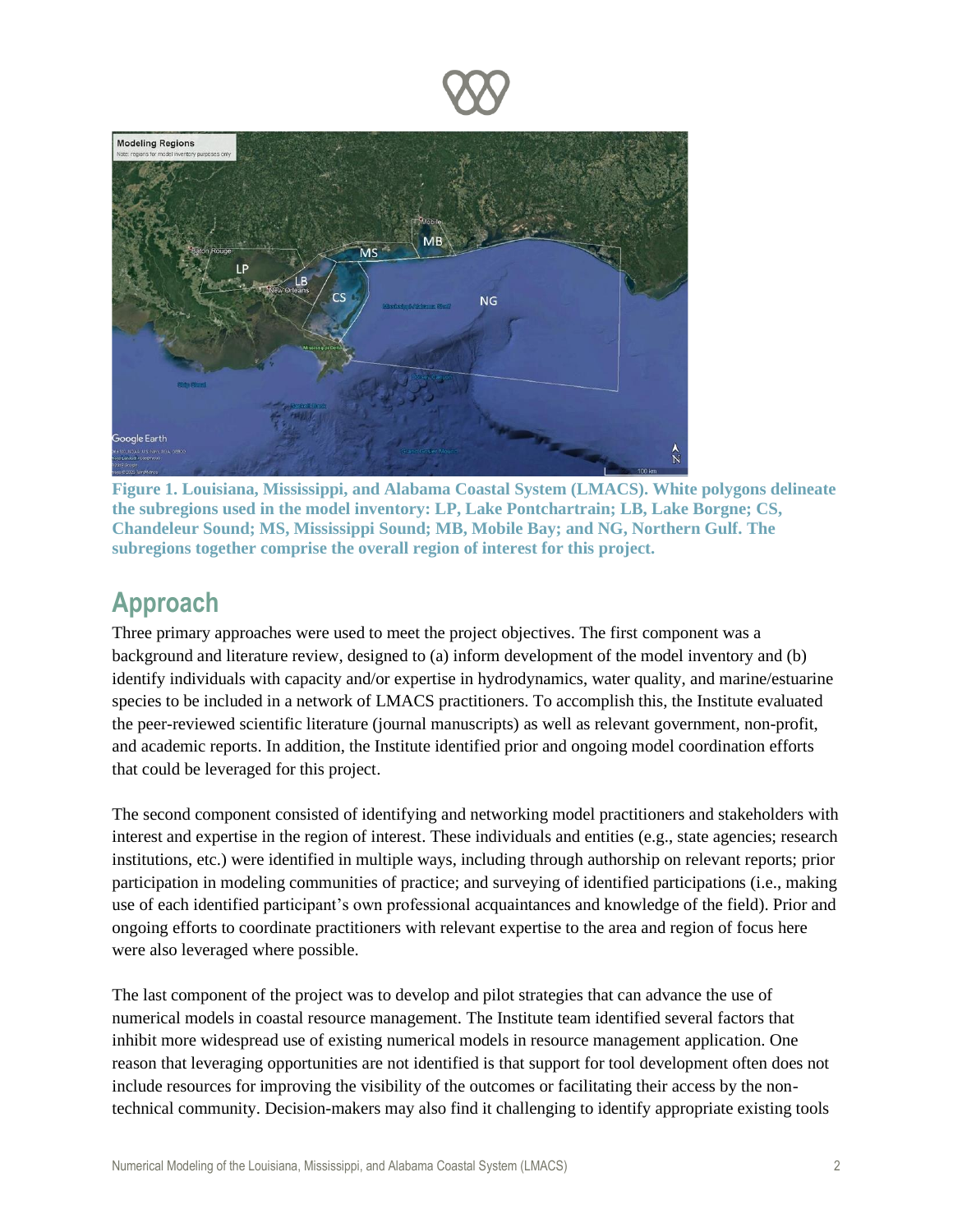



**Figure 1. Louisiana, Mississippi, and Alabama Coastal System (LMACS). White polygons delineate the subregions used in the model inventory: LP, Lake Pontchartrain; LB, Lake Borgne; CS, Chandeleur Sound; MS, Mississippi Sound; MB, Mobile Bay; and NG, Northern Gulf. The subregions together comprise the overall region of interest for this project.**

## **Approach**

Three primary approaches were used to meet the project objectives. The first component was a background and literature review, designed to (a) inform development of the model inventory and (b) identify individuals with capacity and/or expertise in hydrodynamics, water quality, and marine/estuarine species to be included in a network of LMACS practitioners. To accomplish this, the Institute evaluated the peer-reviewed scientific literature (journal manuscripts) as well as relevant government, non-profit, and academic reports. In addition, the Institute identified prior and ongoing model coordination efforts that could be leveraged for this project.

The second component consisted of identifying and networking model practitioners and stakeholders with interest and expertise in the region of interest. These individuals and entities (e.g., state agencies; research institutions, etc.) were identified in multiple ways, including through authorship on relevant reports; prior participation in modeling communities of practice; and surveying of identified participations (i.e., making use of each identified participant's own professional acquaintances and knowledge of the field). Prior and ongoing efforts to coordinate practitioners with relevant expertise to the area and region of focus here were also leveraged where possible.

The last component of the project was to develop and pilot strategies that can advance the use of numerical models in coastal resource management. The Institute team identified several factors that inhibit more widespread use of existing numerical models in resource management application. One reason that leveraging opportunities are not identified is that support for tool development often does not include resources for improving the visibility of the outcomes or facilitating their access by the nontechnical community. Decision-makers may also find it challenging to identify appropriate existing tools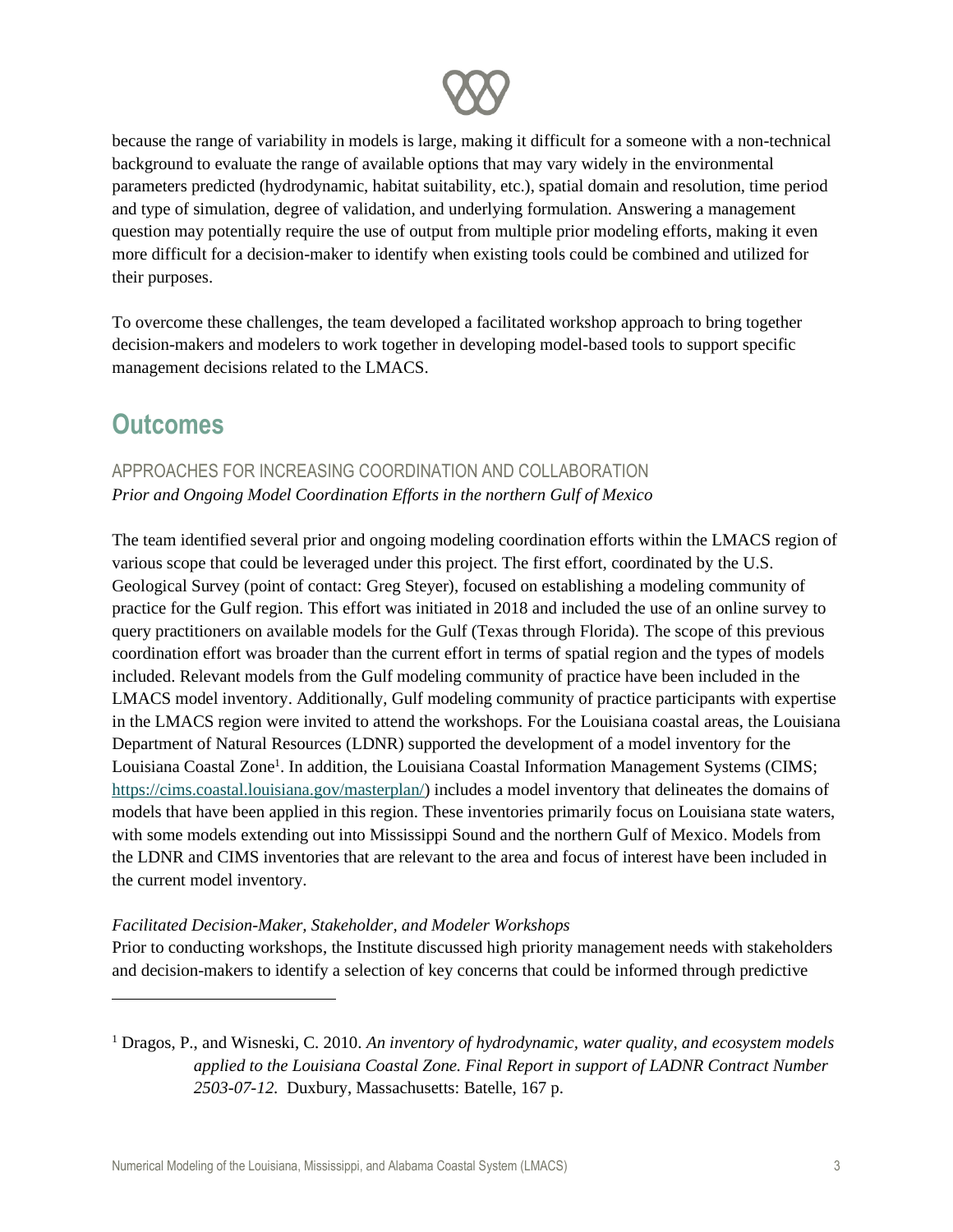

because the range of variability in models is large, making it difficult for a someone with a non-technical background to evaluate the range of available options that may vary widely in the environmental parameters predicted (hydrodynamic, habitat suitability, etc.), spatial domain and resolution, time period and type of simulation, degree of validation, and underlying formulation. Answering a management question may potentially require the use of output from multiple prior modeling efforts, making it even more difficult for a decision-maker to identify when existing tools could be combined and utilized for their purposes.

To overcome these challenges, the team developed a facilitated workshop approach to bring together decision-makers and modelers to work together in developing model-based tools to support specific management decisions related to the LMACS.

## **Outcomes**

### APPROACHES FOR INCREASING COORDINATION AND COLLABORATION *Prior and Ongoing Model Coordination Efforts in the northern Gulf of Mexico*

The team identified several prior and ongoing modeling coordination efforts within the LMACS region of various scope that could be leveraged under this project. The first effort, coordinated by the U.S. Geological Survey (point of contact: Greg Steyer), focused on establishing a modeling community of practice for the Gulf region. This effort was initiated in 2018 and included the use of an online survey to query practitioners on available models for the Gulf (Texas through Florida). The scope of this previous coordination effort was broader than the current effort in terms of spatial region and the types of models included. Relevant models from the Gulf modeling community of practice have been included in the LMACS model inventory. Additionally, Gulf modeling community of practice participants with expertise in the LMACS region were invited to attend the workshops. For the Louisiana coastal areas, the Louisiana Department of Natural Resources (LDNR) supported the development of a model inventory for the Louisiana Coastal Zone<sup>1</sup>. In addition, the Louisiana Coastal Information Management Systems (CIMS; [https://cims.coastal.louisiana.gov/masterplan/\)](https://cims.coastal.louisiana.gov/masterplan/) includes a model inventory that delineates the domains of models that have been applied in this region. These inventories primarily focus on Louisiana state waters, with some models extending out into Mississippi Sound and the northern Gulf of Mexico. Models from the LDNR and CIMS inventories that are relevant to the area and focus of interest have been included in the current model inventory.

#### *Facilitated Decision-Maker, Stakeholder, and Modeler Workshops*

Prior to conducting workshops, the Institute discussed high priority management needs with stakeholders and decision-makers to identify a selection of key concerns that could be informed through predictive

<sup>1</sup> Dragos, P., and Wisneski, C. 2010. *An inventory of hydrodynamic, water quality, and ecosystem models applied to the Louisiana Coastal Zone. Final Report in support of LADNR Contract Number 2503-07-12.* Duxbury, Massachusetts: Batelle, 167 p.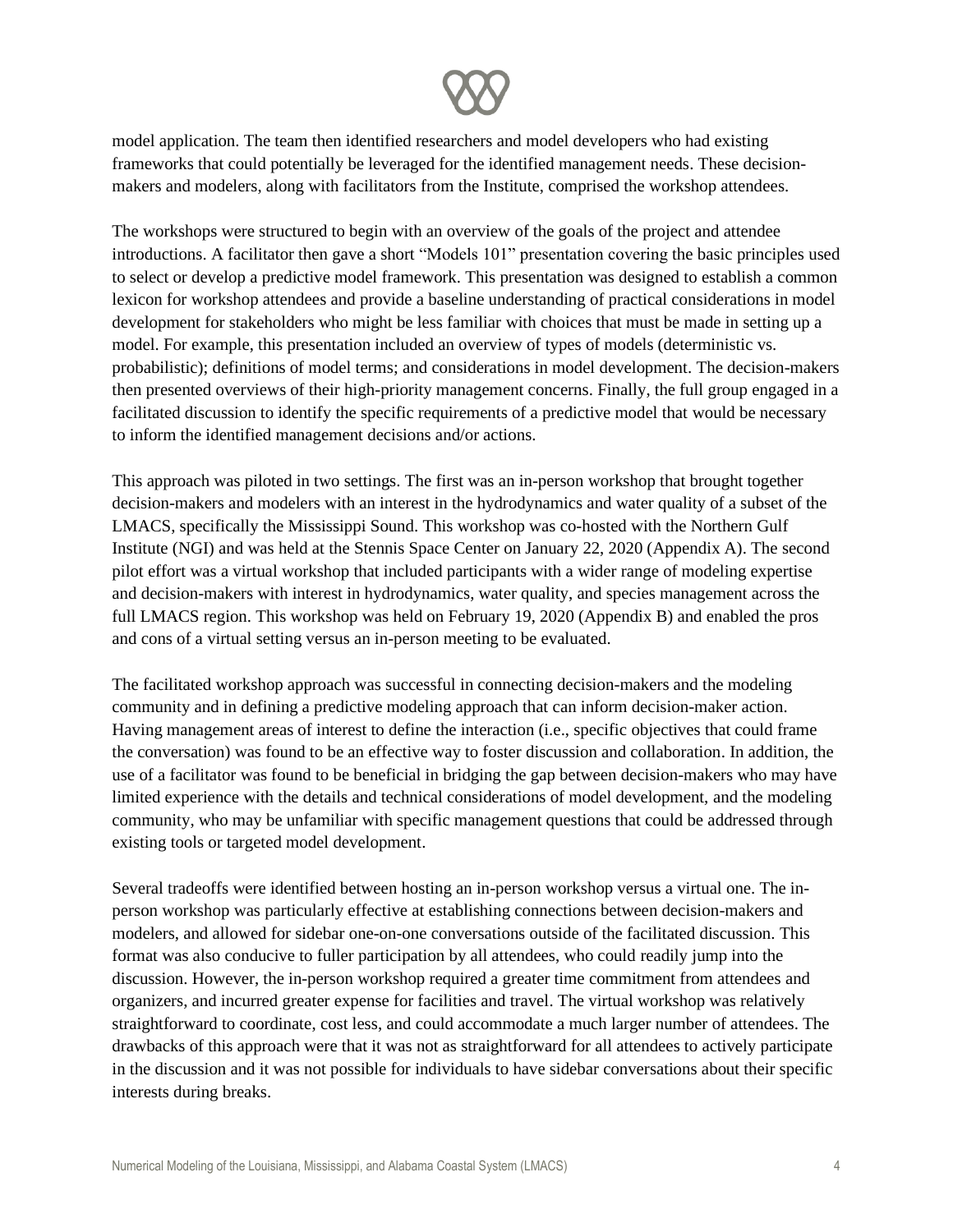

model application. The team then identified researchers and model developers who had existing frameworks that could potentially be leveraged for the identified management needs. These decisionmakers and modelers, along with facilitators from the Institute, comprised the workshop attendees.

The workshops were structured to begin with an overview of the goals of the project and attendee introductions. A facilitator then gave a short "Models 101" presentation covering the basic principles used to select or develop a predictive model framework. This presentation was designed to establish a common lexicon for workshop attendees and provide a baseline understanding of practical considerations in model development for stakeholders who might be less familiar with choices that must be made in setting up a model. For example, this presentation included an overview of types of models (deterministic vs. probabilistic); definitions of model terms; and considerations in model development. The decision-makers then presented overviews of their high-priority management concerns. Finally, the full group engaged in a facilitated discussion to identify the specific requirements of a predictive model that would be necessary to inform the identified management decisions and/or actions.

This approach was piloted in two settings. The first was an in-person workshop that brought together decision-makers and modelers with an interest in the hydrodynamics and water quality of a subset of the LMACS, specifically the Mississippi Sound. This workshop was co-hosted with the Northern Gulf Institute (NGI) and was held at the Stennis Space Center on January 22, 2020 (Appendix A). The second pilot effort was a virtual workshop that included participants with a wider range of modeling expertise and decision-makers with interest in hydrodynamics, water quality, and species management across the full LMACS region. This workshop was held on February 19, 2020 (Appendix B) and enabled the pros and cons of a virtual setting versus an in-person meeting to be evaluated.

The facilitated workshop approach was successful in connecting decision-makers and the modeling community and in defining a predictive modeling approach that can inform decision-maker action. Having management areas of interest to define the interaction (i.e., specific objectives that could frame the conversation) was found to be an effective way to foster discussion and collaboration. In addition, the use of a facilitator was found to be beneficial in bridging the gap between decision-makers who may have limited experience with the details and technical considerations of model development, and the modeling community, who may be unfamiliar with specific management questions that could be addressed through existing tools or targeted model development.

Several tradeoffs were identified between hosting an in-person workshop versus a virtual one. The inperson workshop was particularly effective at establishing connections between decision-makers and modelers, and allowed for sidebar one-on-one conversations outside of the facilitated discussion. This format was also conducive to fuller participation by all attendees, who could readily jump into the discussion. However, the in-person workshop required a greater time commitment from attendees and organizers, and incurred greater expense for facilities and travel. The virtual workshop was relatively straightforward to coordinate, cost less, and could accommodate a much larger number of attendees. The drawbacks of this approach were that it was not as straightforward for all attendees to actively participate in the discussion and it was not possible for individuals to have sidebar conversations about their specific interests during breaks.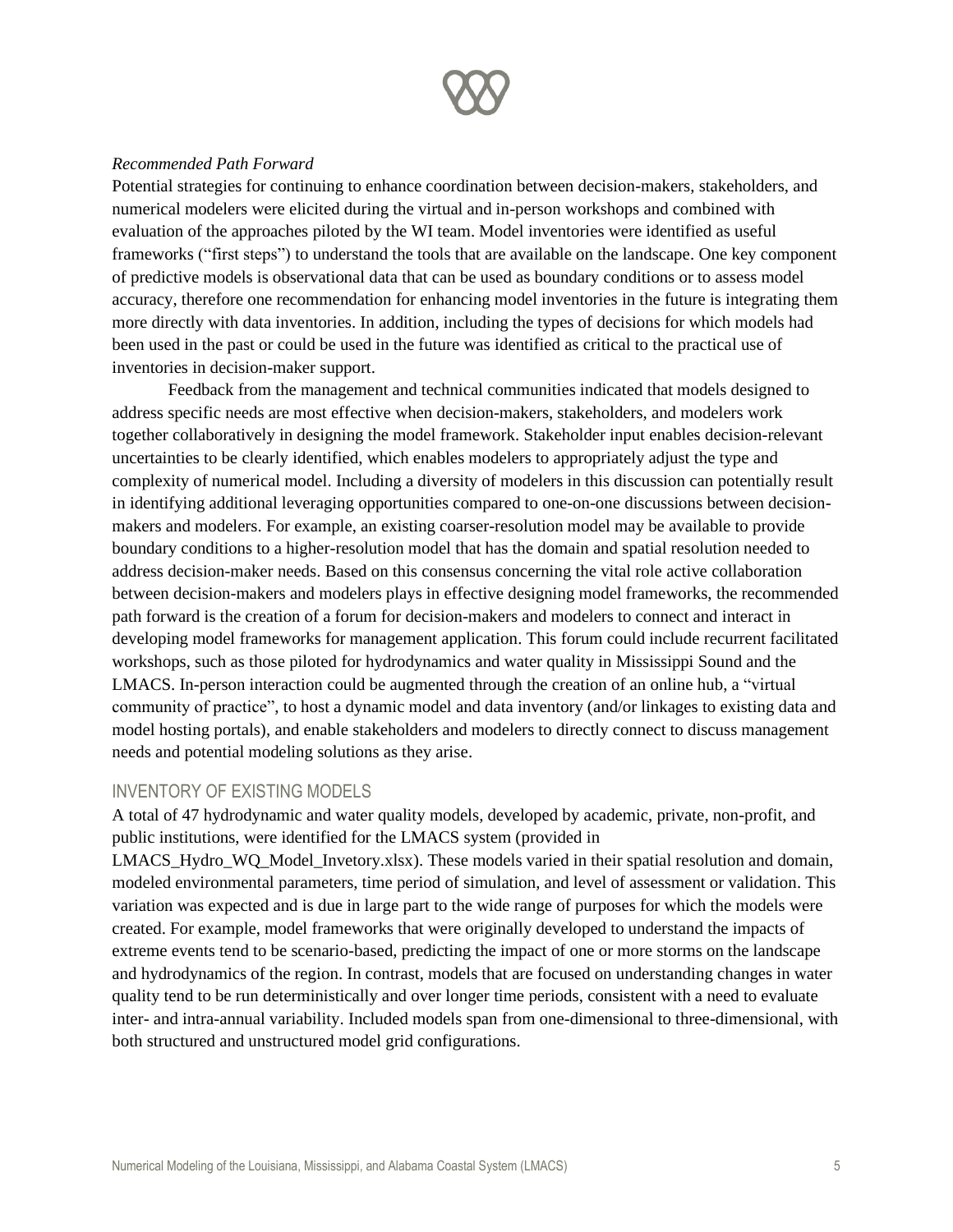

#### *Recommended Path Forward*

Potential strategies for continuing to enhance coordination between decision-makers, stakeholders, and numerical modelers were elicited during the virtual and in-person workshops and combined with evaluation of the approaches piloted by the WI team. Model inventories were identified as useful frameworks ("first steps") to understand the tools that are available on the landscape. One key component of predictive models is observational data that can be used as boundary conditions or to assess model accuracy, therefore one recommendation for enhancing model inventories in the future is integrating them more directly with data inventories. In addition, including the types of decisions for which models had been used in the past or could be used in the future was identified as critical to the practical use of inventories in decision-maker support.

Feedback from the management and technical communities indicated that models designed to address specific needs are most effective when decision-makers, stakeholders, and modelers work together collaboratively in designing the model framework. Stakeholder input enables decision-relevant uncertainties to be clearly identified, which enables modelers to appropriately adjust the type and complexity of numerical model. Including a diversity of modelers in this discussion can potentially result in identifying additional leveraging opportunities compared to one-on-one discussions between decisionmakers and modelers. For example, an existing coarser-resolution model may be available to provide boundary conditions to a higher-resolution model that has the domain and spatial resolution needed to address decision-maker needs. Based on this consensus concerning the vital role active collaboration between decision-makers and modelers plays in effective designing model frameworks, the recommended path forward is the creation of a forum for decision-makers and modelers to connect and interact in developing model frameworks for management application. This forum could include recurrent facilitated workshops, such as those piloted for hydrodynamics and water quality in Mississippi Sound and the LMACS. In-person interaction could be augmented through the creation of an online hub, a "virtual community of practice", to host a dynamic model and data inventory (and/or linkages to existing data and model hosting portals), and enable stakeholders and modelers to directly connect to discuss management needs and potential modeling solutions as they arise.

#### INVENTORY OF EXISTING MODELS

A total of 47 hydrodynamic and water quality models, developed by academic, private, non-profit, and public institutions, were identified for the LMACS system (provided in

LMACS\_Hydro\_WQ\_Model\_Invetory.xlsx). These models varied in their spatial resolution and domain, modeled environmental parameters, time period of simulation, and level of assessment or validation. This variation was expected and is due in large part to the wide range of purposes for which the models were created. For example, model frameworks that were originally developed to understand the impacts of extreme events tend to be scenario-based, predicting the impact of one or more storms on the landscape and hydrodynamics of the region. In contrast, models that are focused on understanding changes in water quality tend to be run deterministically and over longer time periods, consistent with a need to evaluate inter- and intra-annual variability. Included models span from one-dimensional to three-dimensional, with both structured and unstructured model grid configurations.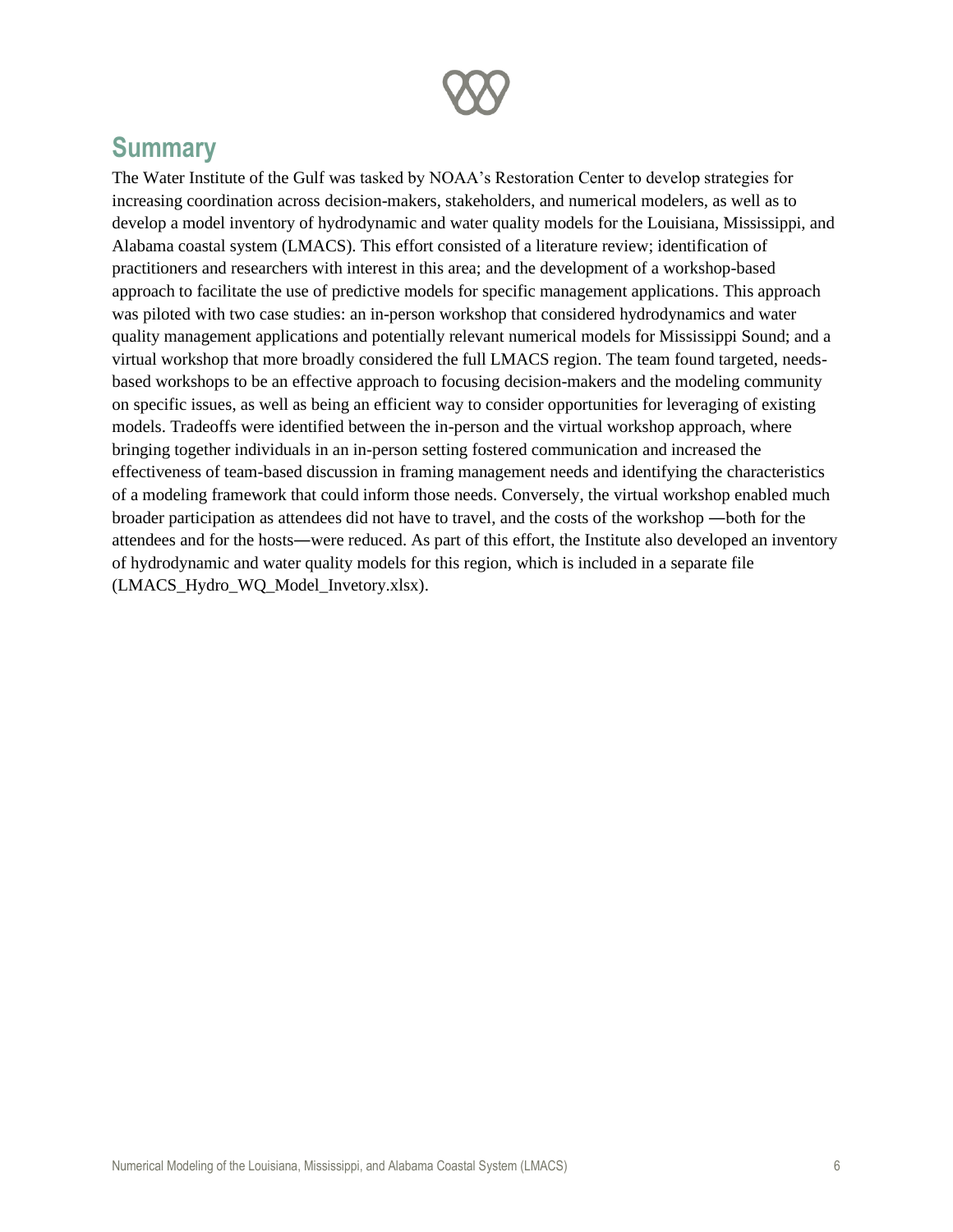

## **Summary**

The Water Institute of the Gulf was tasked by NOAA's Restoration Center to develop strategies for increasing coordination across decision-makers, stakeholders, and numerical modelers, as well as to develop a model inventory of hydrodynamic and water quality models for the Louisiana, Mississippi, and Alabama coastal system (LMACS). This effort consisted of a literature review; identification of practitioners and researchers with interest in this area; and the development of a workshop-based approach to facilitate the use of predictive models for specific management applications. This approach was piloted with two case studies: an in-person workshop that considered hydrodynamics and water quality management applications and potentially relevant numerical models for Mississippi Sound; and a virtual workshop that more broadly considered the full LMACS region. The team found targeted, needsbased workshops to be an effective approach to focusing decision-makers and the modeling community on specific issues, as well as being an efficient way to consider opportunities for leveraging of existing models. Tradeoffs were identified between the in-person and the virtual workshop approach, where bringing together individuals in an in-person setting fostered communication and increased the effectiveness of team-based discussion in framing management needs and identifying the characteristics of a modeling framework that could inform those needs. Conversely, the virtual workshop enabled much broader participation as attendees did not have to travel, and the costs of the workshop ―both for the attendees and for the hosts―were reduced. As part of this effort, the Institute also developed an inventory of hydrodynamic and water quality models for this region, which is included in a separate file (LMACS\_Hydro\_WQ\_Model\_Invetory.xlsx).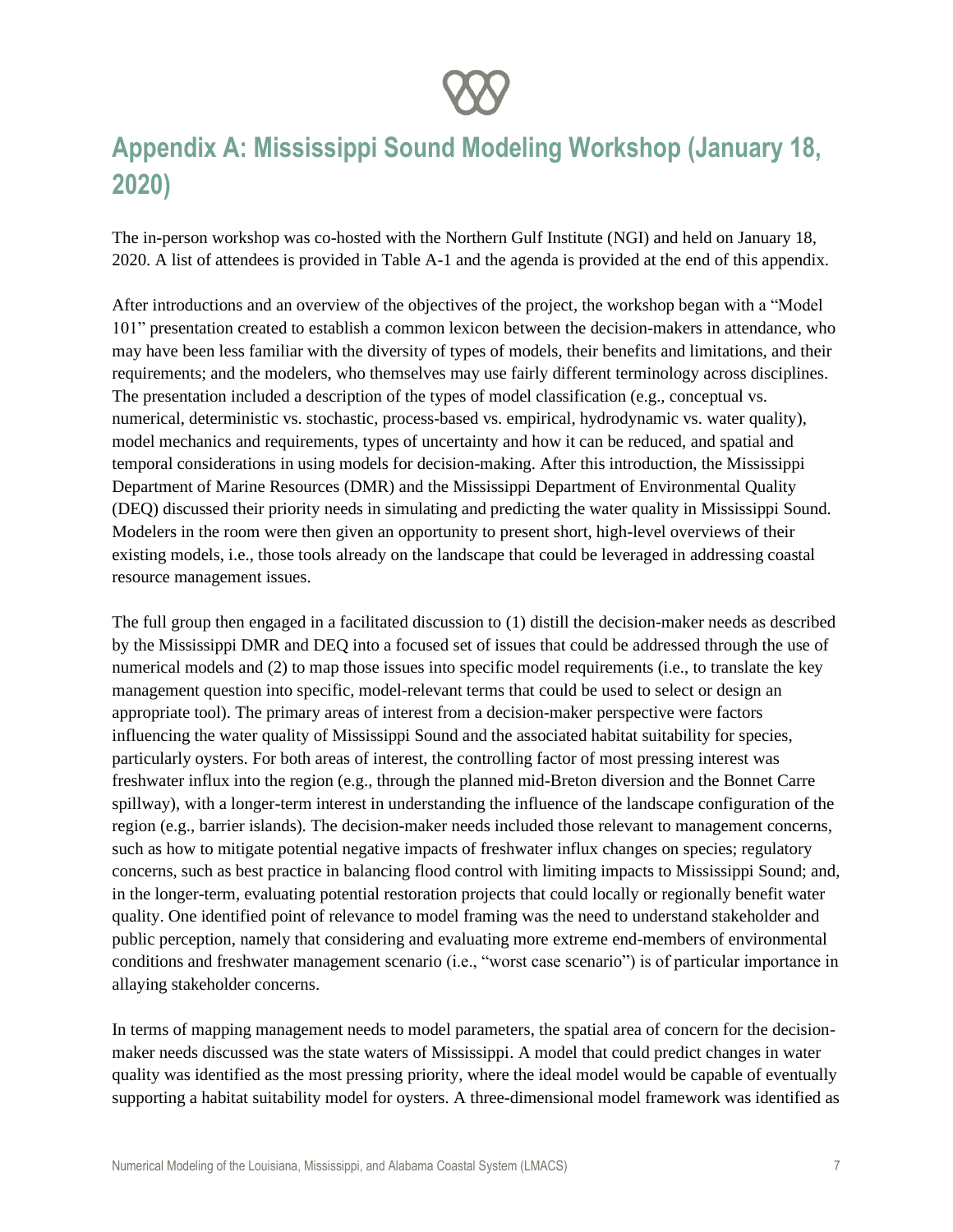

## **Appendix A: Mississippi Sound Modeling Workshop (January 18, 2020)**

The in-person workshop was co-hosted with the Northern Gulf Institute (NGI) and held on January 18, 2020. A list of attendees is provided in Table A-1 and the agenda is provided at the end of this appendix.

After introductions and an overview of the objectives of the project, the workshop began with a "Model 101" presentation created to establish a common lexicon between the decision-makers in attendance, who may have been less familiar with the diversity of types of models, their benefits and limitations, and their requirements; and the modelers, who themselves may use fairly different terminology across disciplines. The presentation included a description of the types of model classification (e.g., conceptual vs. numerical, deterministic vs. stochastic, process-based vs. empirical, hydrodynamic vs. water quality), model mechanics and requirements, types of uncertainty and how it can be reduced, and spatial and temporal considerations in using models for decision-making. After this introduction, the Mississippi Department of Marine Resources (DMR) and the Mississippi Department of Environmental Quality (DEQ) discussed their priority needs in simulating and predicting the water quality in Mississippi Sound. Modelers in the room were then given an opportunity to present short, high-level overviews of their existing models, i.e., those tools already on the landscape that could be leveraged in addressing coastal resource management issues.

The full group then engaged in a facilitated discussion to (1) distill the decision-maker needs as described by the Mississippi DMR and DEQ into a focused set of issues that could be addressed through the use of numerical models and (2) to map those issues into specific model requirements (i.e., to translate the key management question into specific, model-relevant terms that could be used to select or design an appropriate tool). The primary areas of interest from a decision-maker perspective were factors influencing the water quality of Mississippi Sound and the associated habitat suitability for species, particularly oysters. For both areas of interest, the controlling factor of most pressing interest was freshwater influx into the region (e.g., through the planned mid-Breton diversion and the Bonnet Carre spillway), with a longer-term interest in understanding the influence of the landscape configuration of the region (e.g., barrier islands). The decision-maker needs included those relevant to management concerns, such as how to mitigate potential negative impacts of freshwater influx changes on species; regulatory concerns, such as best practice in balancing flood control with limiting impacts to Mississippi Sound; and, in the longer-term, evaluating potential restoration projects that could locally or regionally benefit water quality. One identified point of relevance to model framing was the need to understand stakeholder and public perception, namely that considering and evaluating more extreme end-members of environmental conditions and freshwater management scenario (i.e., "worst case scenario") is of particular importance in allaying stakeholder concerns.

In terms of mapping management needs to model parameters, the spatial area of concern for the decisionmaker needs discussed was the state waters of Mississippi. A model that could predict changes in water quality was identified as the most pressing priority, where the ideal model would be capable of eventually supporting a habitat suitability model for oysters. A three-dimensional model framework was identified as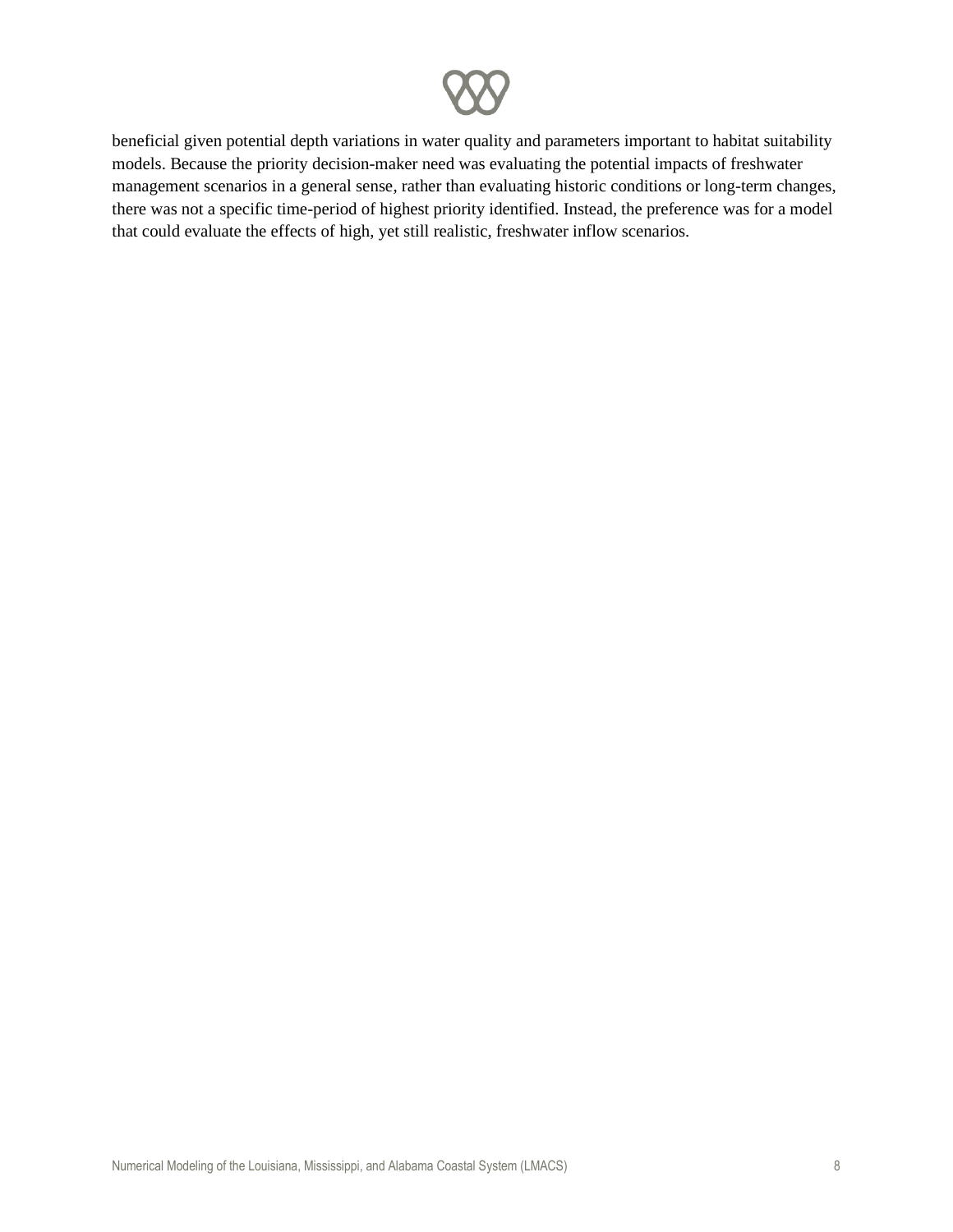beneficial given potential depth variations in water quality and parameters important to habitat suitability models. Because the priority decision-maker need was evaluating the potential impacts of freshwater management scenarios in a general sense, rather than evaluating historic conditions or long-term changes, there was not a specific time-period of highest priority identified. Instead, the preference was for a model that could evaluate the effects of high, yet still realistic, freshwater inflow scenarios.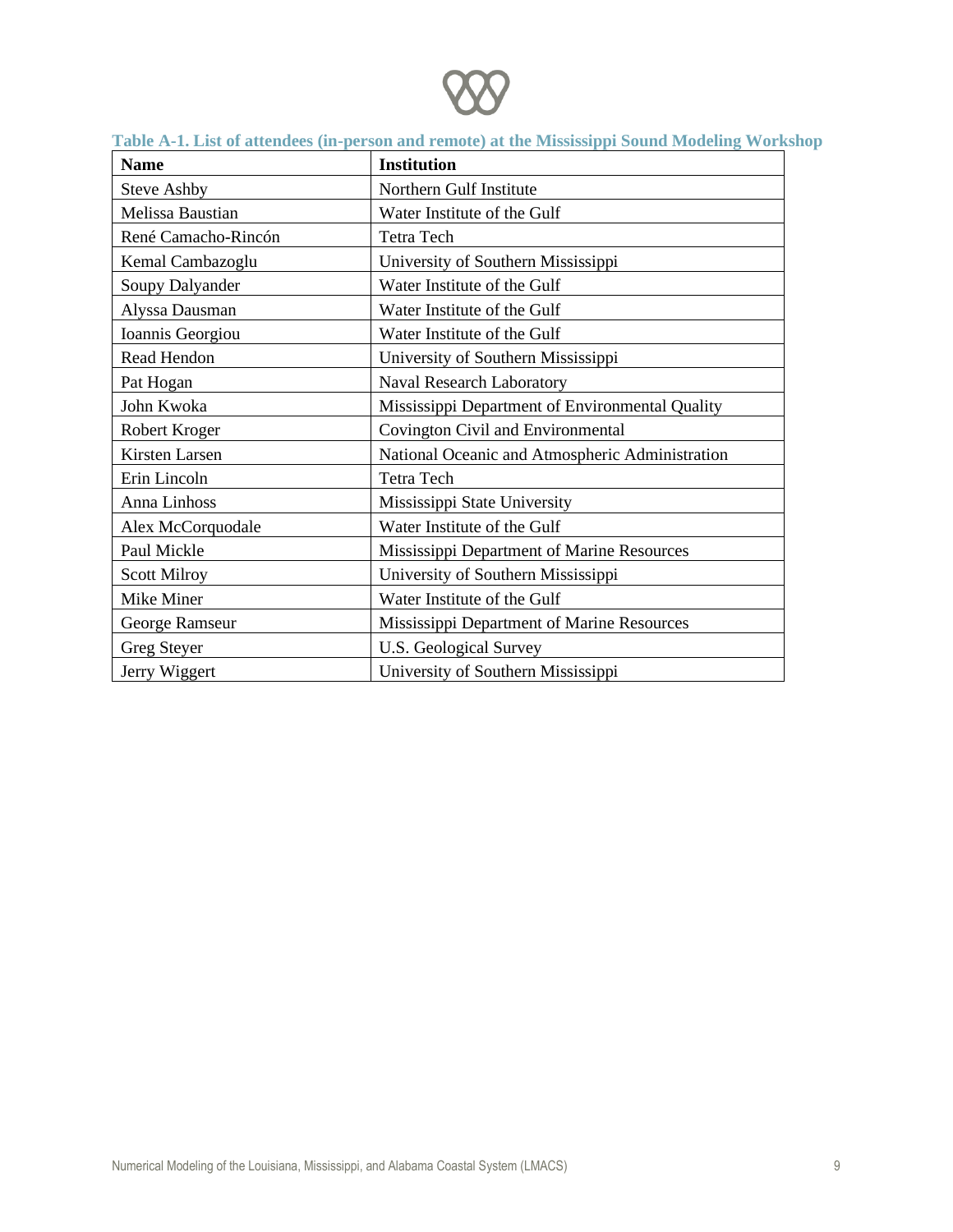

| <b>Name</b>         | <b>Institution</b>                              |
|---------------------|-------------------------------------------------|
| <b>Steve Ashby</b>  | Northern Gulf Institute                         |
| Melissa Baustian    | Water Institute of the Gulf                     |
| René Camacho-Rincón | <b>Tetra Tech</b>                               |
| Kemal Cambazoglu    | University of Southern Mississippi              |
| Soupy Dalyander     | Water Institute of the Gulf                     |
| Alyssa Dausman      | Water Institute of the Gulf                     |
| Ioannis Georgiou    | Water Institute of the Gulf                     |
| Read Hendon         | University of Southern Mississippi              |
| Pat Hogan           | Naval Research Laboratory                       |
| John Kwoka          | Mississippi Department of Environmental Quality |
| Robert Kroger       | Covington Civil and Environmental               |
| Kirsten Larsen      | National Oceanic and Atmospheric Administration |
| Erin Lincoln        | <b>Tetra Tech</b>                               |
| Anna Linhoss        | Mississippi State University                    |
| Alex McCorquodale   | Water Institute of the Gulf                     |
| Paul Mickle         | Mississippi Department of Marine Resources      |
| <b>Scott Milroy</b> | University of Southern Mississippi              |
| Mike Miner          | Water Institute of the Gulf                     |
| George Ramseur      | Mississippi Department of Marine Resources      |
| Greg Steyer         | <b>U.S. Geological Survey</b>                   |
| Jerry Wiggert       | University of Southern Mississippi              |

#### **Table A-1. List of attendees (in-person and remote) at the Mississippi Sound Modeling Workshop**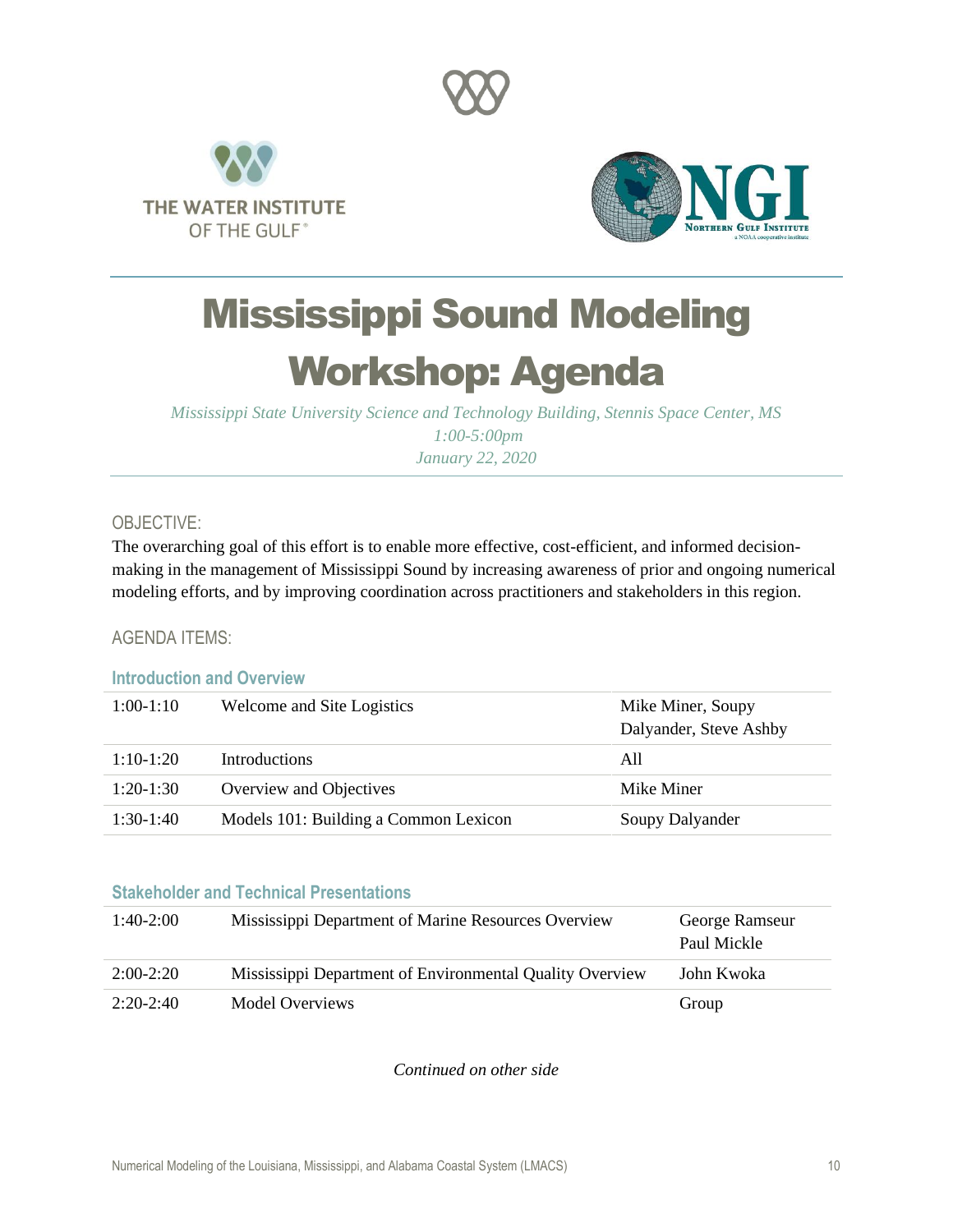





## Mississippi Sound Modeling Workshop: Agenda

*Mississippi State University Science and Technology Building, Stennis Space Center, MS 1:00-5:00pm January 22, 2020*

#### OBJECTIVE:

The overarching goal of this effort is to enable more effective, cost-efficient, and informed decisionmaking in the management of Mississippi Sound by increasing awareness of prior and ongoing numerical modeling efforts, and by improving coordination across practitioners and stakeholders in this region.

#### AGENDA ITEMS:

#### **Introduction and Overview**

| $1:00-1:10$ | Welcome and Site Logistics            | Mike Miner, Soupy<br>Dalyander, Steve Ashby |
|-------------|---------------------------------------|---------------------------------------------|
| $1:10-1:20$ | Introductions                         | All                                         |
| $1:20-1:30$ | Overview and Objectives               | Mike Miner                                  |
| $1:30-1:40$ | Models 101: Building a Common Lexicon | Soupy Dalyander                             |

#### **Stakeholder and Technical Presentations**

| $1:40-2:00$ | Mississippi Department of Marine Resources Overview      | George Ramseur<br>Paul Mickle |
|-------------|----------------------------------------------------------|-------------------------------|
| $2:00-2:20$ | Mississippi Department of Environmental Quality Overview | John Kwoka                    |
| $2:20-2:40$ | <b>Model Overviews</b>                                   | Group                         |

*Continued on other side*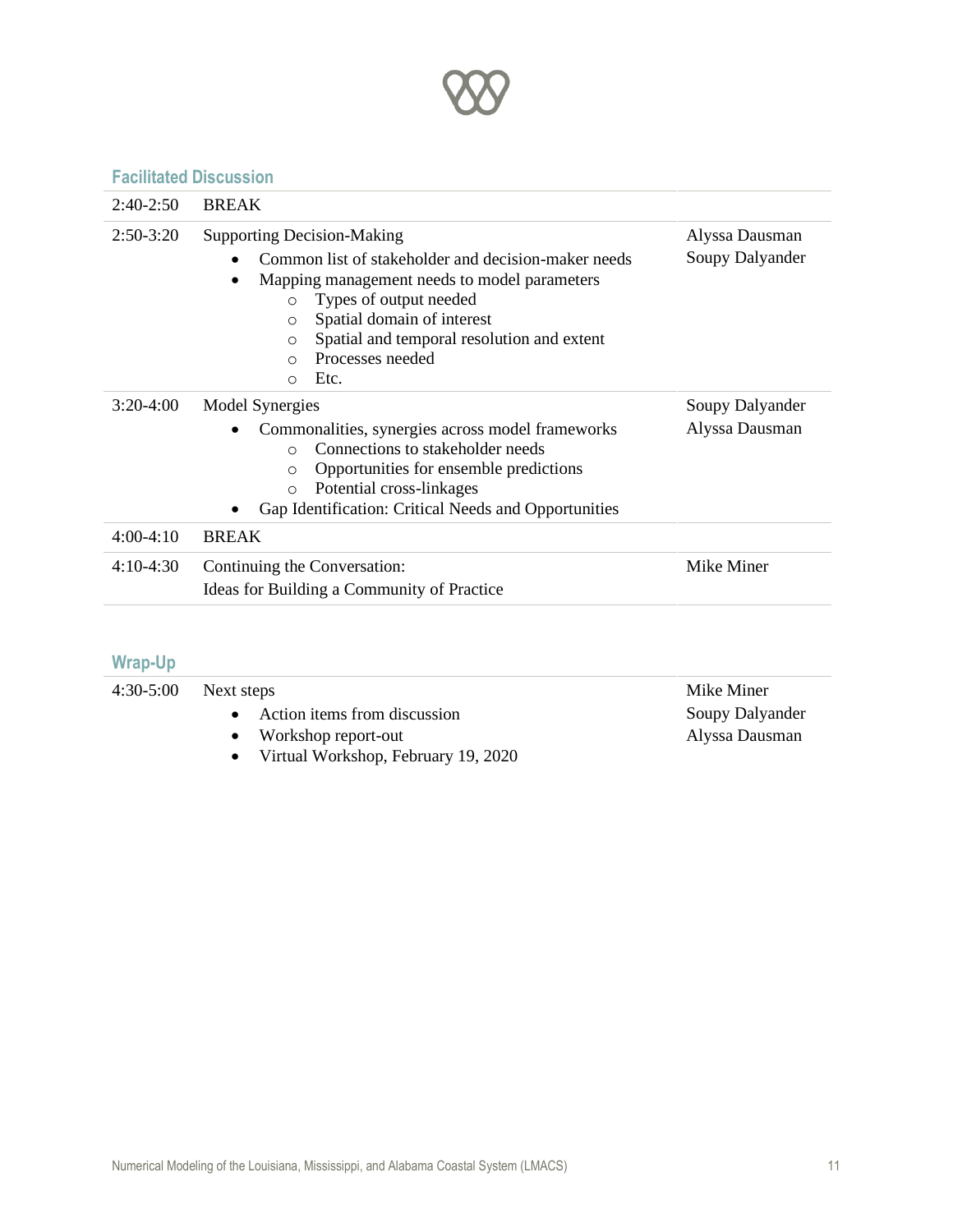

#### **Facilitated Discussion**

| $2:40-2:50$<br>$2:50-3:20$ | <b>BREAK</b><br><b>Supporting Decision-Making</b>                                                                                                                                                                                                                                            |                                   |
|----------------------------|----------------------------------------------------------------------------------------------------------------------------------------------------------------------------------------------------------------------------------------------------------------------------------------------|-----------------------------------|
|                            | Common list of stakeholder and decision-maker needs<br>Mapping management needs to model parameters<br>Types of output needed<br>$\circ$<br>Spatial domain of interest<br>$\circ$<br>Spatial and temporal resolution and extent<br>$\circ$<br>Processes needed<br>$\cap$<br>Etc.<br>$\Omega$ | Alyssa Dausman<br>Soupy Dalyander |
| $3:20-4:00$                | Model Synergies<br>Commonalities, synergies across model frameworks<br>Connections to stakeholder needs<br>$\bigcirc$<br>Opportunities for ensemble predictions<br>$\circ$<br>Potential cross-linkages<br>$\circ$<br>Gap Identification: Critical Needs and Opportunities<br>٠               | Soupy Dalyander<br>Alyssa Dausman |
| $4:00-4:10$                | <b>BREAK</b>                                                                                                                                                                                                                                                                                 |                                   |
| $4:10-4:30$                | Continuing the Conversation:<br>Ideas for Building a Community of Practice                                                                                                                                                                                                                   | Mike Miner                        |

### **Wrap-Up**

| $4:30-5:00$ | Next steps                            | Mike Miner      |
|-------------|---------------------------------------|-----------------|
|             | • Action items from discussion        | Soupy Dalyander |
|             | • Workshop report-out                 | Alyssa Dausman  |
|             | • Virtual Workshop, February 19, 2020 |                 |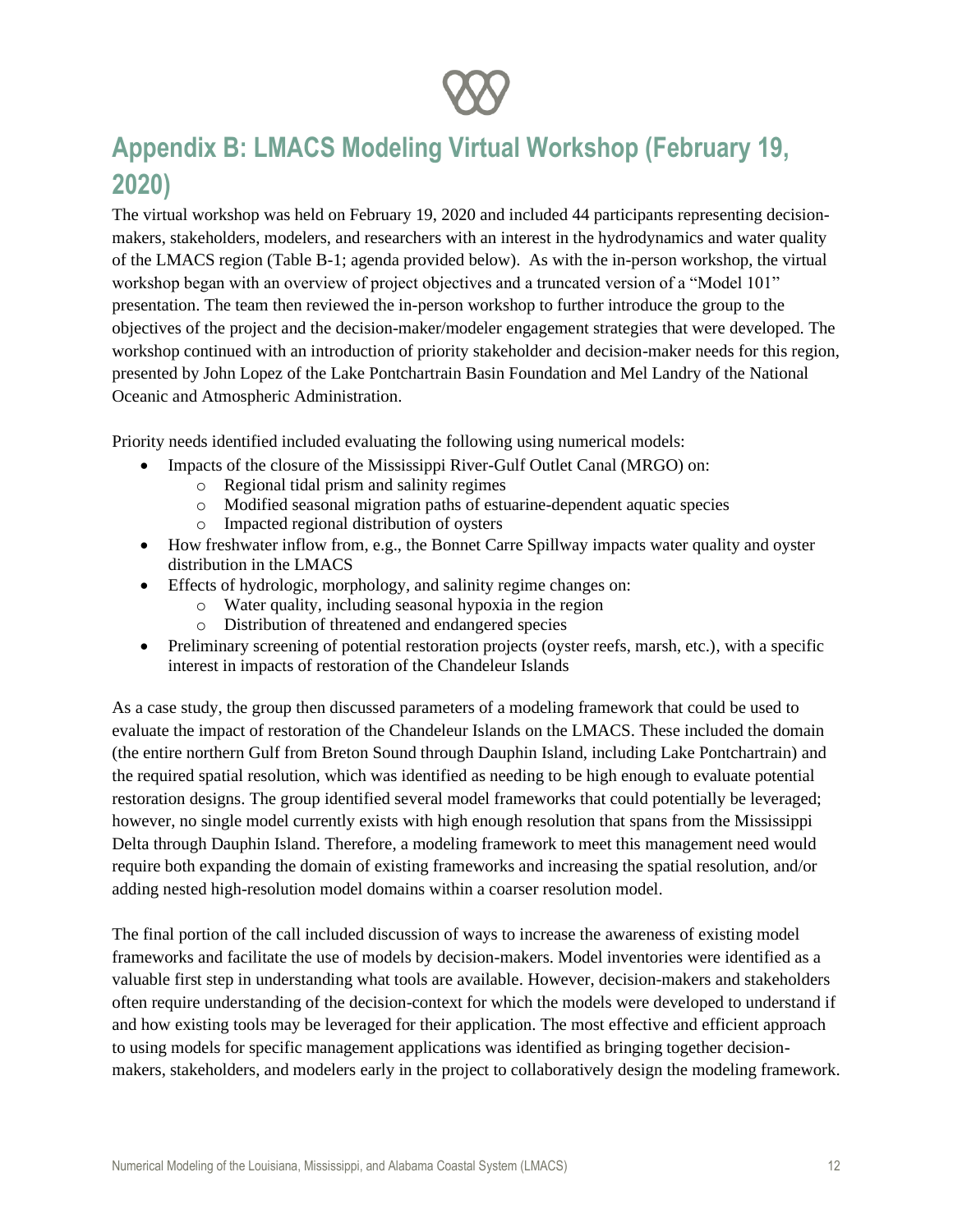

## **Appendix B: LMACS Modeling Virtual Workshop (February 19, 2020)**

The virtual workshop was held on February 19, 2020 and included 44 participants representing decisionmakers, stakeholders, modelers, and researchers with an interest in the hydrodynamics and water quality of the LMACS region (Table B-1; agenda provided below). As with the in-person workshop, the virtual workshop began with an overview of project objectives and a truncated version of a "Model 101" presentation. The team then reviewed the in-person workshop to further introduce the group to the objectives of the project and the decision-maker/modeler engagement strategies that were developed. The workshop continued with an introduction of priority stakeholder and decision-maker needs for this region, presented by John Lopez of the Lake Pontchartrain Basin Foundation and Mel Landry of the National Oceanic and Atmospheric Administration.

Priority needs identified included evaluating the following using numerical models:

- Impacts of the closure of the Mississippi River-Gulf Outlet Canal (MRGO) on:
	- o Regional tidal prism and salinity regimes
	- o Modified seasonal migration paths of estuarine-dependent aquatic species
	- o Impacted regional distribution of oysters
- How freshwater inflow from, e.g., the Bonnet Carre Spillway impacts water quality and oyster distribution in the LMACS
- Effects of hydrologic, morphology, and salinity regime changes on:
	- o Water quality, including seasonal hypoxia in the region
	- o Distribution of threatened and endangered species
- Preliminary screening of potential restoration projects (oyster reefs, marsh, etc.), with a specific interest in impacts of restoration of the Chandeleur Islands

As a case study, the group then discussed parameters of a modeling framework that could be used to evaluate the impact of restoration of the Chandeleur Islands on the LMACS. These included the domain (the entire northern Gulf from Breton Sound through Dauphin Island, including Lake Pontchartrain) and the required spatial resolution, which was identified as needing to be high enough to evaluate potential restoration designs. The group identified several model frameworks that could potentially be leveraged; however, no single model currently exists with high enough resolution that spans from the Mississippi Delta through Dauphin Island. Therefore, a modeling framework to meet this management need would require both expanding the domain of existing frameworks and increasing the spatial resolution, and/or adding nested high-resolution model domains within a coarser resolution model.

The final portion of the call included discussion of ways to increase the awareness of existing model frameworks and facilitate the use of models by decision-makers. Model inventories were identified as a valuable first step in understanding what tools are available. However, decision-makers and stakeholders often require understanding of the decision-context for which the models were developed to understand if and how existing tools may be leveraged for their application. The most effective and efficient approach to using models for specific management applications was identified as bringing together decisionmakers, stakeholders, and modelers early in the project to collaboratively design the modeling framework.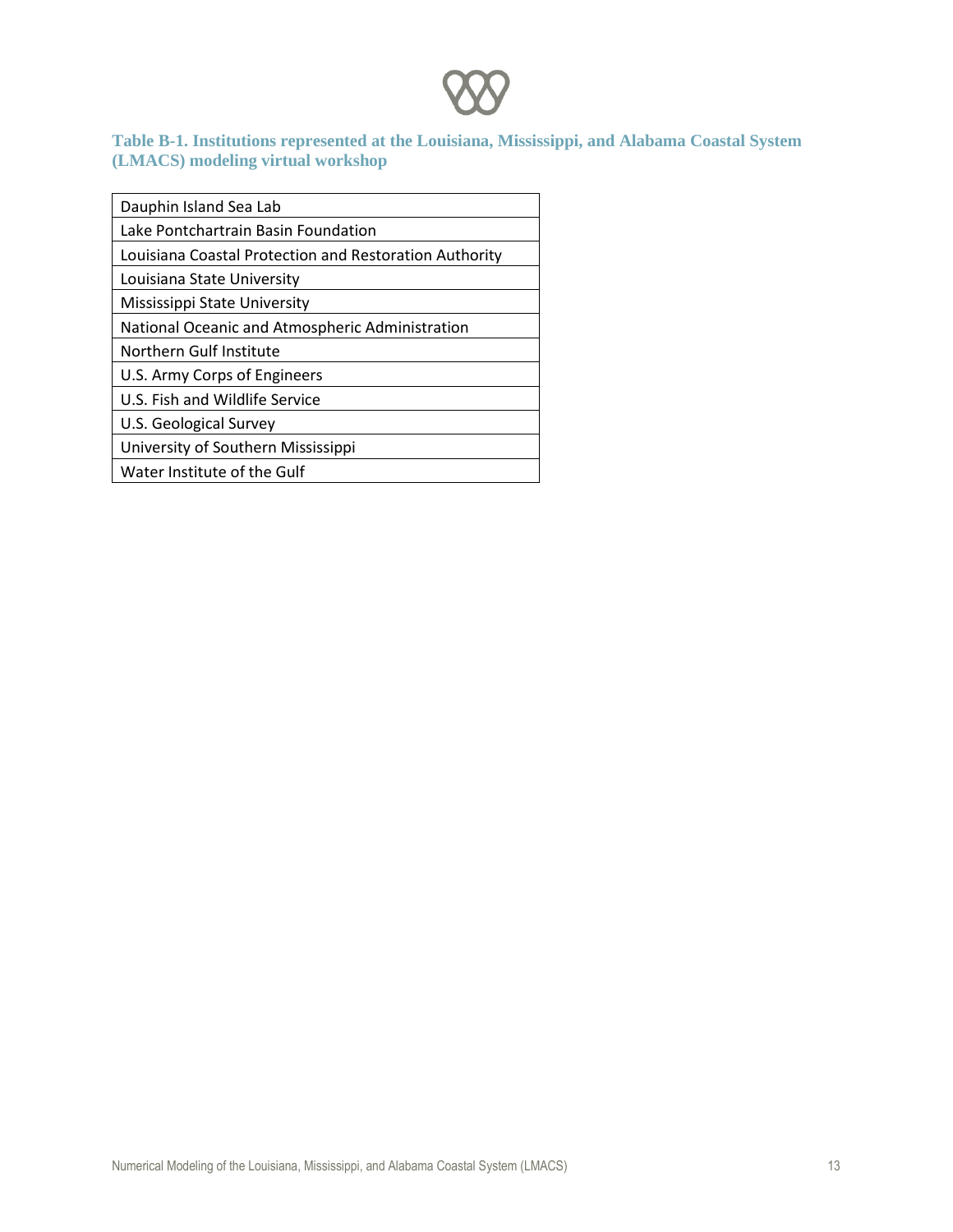

#### **Table B-1. Institutions represented at the Louisiana, Mississippi, and Alabama Coastal System (LMACS) modeling virtual workshop**

| Dauphin Island Sea Lab                                 |
|--------------------------------------------------------|
| Lake Pontchartrain Basin Foundation                    |
| Louisiana Coastal Protection and Restoration Authority |
| Louisiana State University                             |
| Mississippi State University                           |
| National Oceanic and Atmospheric Administration        |
| Northern Gulf Institute                                |
| U.S. Army Corps of Engineers                           |
| U.S. Fish and Wildlife Service                         |
| U.S. Geological Survey                                 |
| University of Southern Mississippi                     |
| Water Institute of the Gulf                            |
|                                                        |